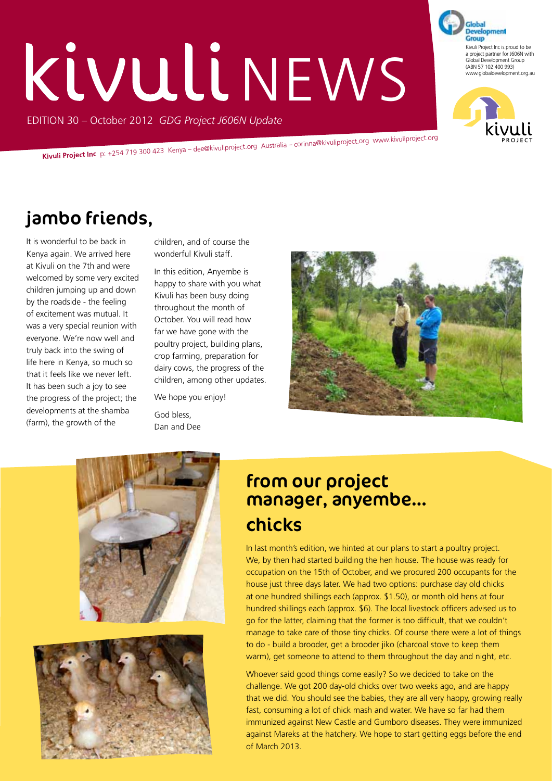# Kivuli NEWS

EDITION 30 – October 2012 *GDG Project J606N Update*

**Kivuli Project Inc** p: +254 719 300 423 Kenya – dee@kivuliproject.org Australia – corinna@kivuliproject.org www.kivuliproject.org

# jambo friends,

It is wonderful to be back in Kenya again. We arrived here at Kivuli on the 7th and were welcomed by some very excited children jumping up and down by the roadside - the feeling of excitement was mutual. It was a very special reunion with everyone. We're now well and truly back into the swing of life here in Kenya, so much so that it feels like we never left. It has been such a joy to see the progress of the project; the developments at the shamba (farm), the growth of the

children, and of course the wonderful Kivuli staff.

In this edition, Anyembe is happy to share with you what Kivuli has been busy doing throughout the month of October. You will read how far we have gone with the poultry project, building plans, crop farming, preparation for dairy cows, the progress of the children, among other updates.

We hope you enjoy! God bless, Dan and Dee







# chicks from our project manager, anyembe…

In last month's edition, we hinted at our plans to start a poultry project. We, by then had started building the hen house. The house was ready for occupation on the 15th of October, and we procured 200 occupants for the house just three days later. We had two options: purchase day old chicks at one hundred shillings each (approx. \$1.50), or month old hens at four hundred shillings each (approx. \$6). The local livestock officers advised us to go for the latter, claiming that the former is too difficult, that we couldn't manage to take care of those tiny chicks. Of course there were a lot of things to do - build a brooder, get a brooder jiko (charcoal stove to keep them warm), get someone to attend to them throughout the day and night, etc.

Whoever said good things come easily? So we decided to take on the challenge. We got 200 day-old chicks over two weeks ago, and are happy that we did. You should see the babies, they are all very happy, growing really fast, consuming a lot of chick mash and water. We have so far had them immunized against New Castle and Gumboro diseases. They were immunized against Mareks at the hatchery. We hope to start getting eggs before the end of March 2013.

**Development** Group Kivuli Project Inc is proud to be a project partner for J606N with Global Development Group (ABN 57 102 400 993) www.globaldevelopment.org.au

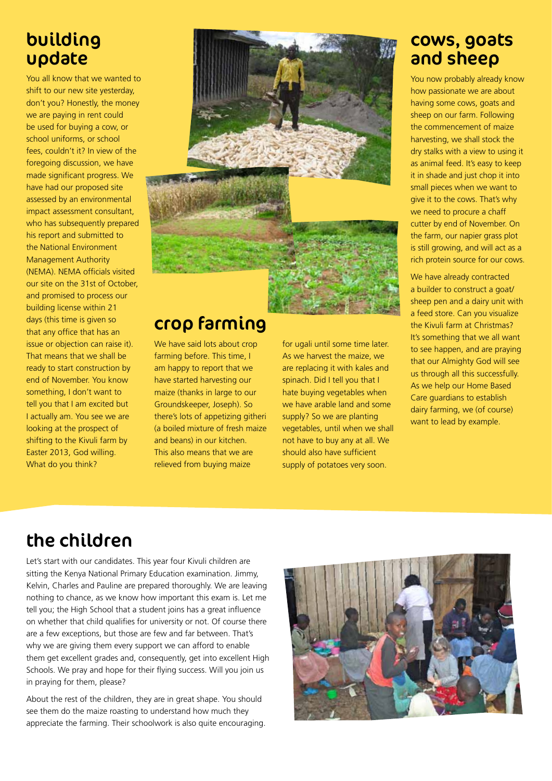## building update

You all know that we wanted to shift to our new site yesterday, don't you? Honestly, the money we are paying in rent could be used for buying a cow, or school uniforms, or school fees, couldn't it? In view of the foregoing discussion, we have made significant progress. We have had our proposed site assessed by an environmental impact assessment consultant, who has subsequently prepared his report and submitted to the National Environment Management Authority (NEMA). NEMA officials visited our site on the 31st of October, and promised to process our building license within 21 days (this time is given so that any office that has an issue or objection can raise it). That means that we shall be ready to start construction by end of November. You know something, I don't want to tell you that I am excited but I actually am. You see we are looking at the prospect of shifting to the Kivuli farm by Easter 2013, God willing. What do you think?



# crop farming

We have said lots about crop farming before. This time, I am happy to report that we have started harvesting our maize (thanks in large to our Groundskeeper, Joseph). So there's lots of appetizing githeri (a boiled mixture of fresh maize and beans) in our kitchen. This also means that we are relieved from buying maize

for ugali until some time later. As we harvest the maize, we are replacing it with kales and spinach. Did I tell you that I hate buying vegetables when we have arable land and some supply? So we are planting vegetables, until when we shall not have to buy any at all. We should also have sufficient supply of potatoes very soon.

#### cows, goats and sheep

You now probably already know how passionate we are about having some cows, goats and sheep on our farm. Following the commencement of maize harvesting, we shall stock the dry stalks with a view to using it as animal feed. It's easy to keep it in shade and just chop it into small pieces when we want to give it to the cows. That's why we need to procure a chaff cutter by end of November. On the farm, our napier grass plot is still growing, and will act as a rich protein source for our cows.

We have already contracted a builder to construct a goat/ sheep pen and a dairy unit with a feed store. Can you visualize the Kivuli farm at Christmas? It's something that we all want to see happen, and are praying that our Almighty God will see us through all this successfully. As we help our Home Based Care guardians to establish dairy farming, we (of course) want to lead by example.

# the children

Let's start with our candidates. This year four Kivuli children are sitting the Kenya National Primary Education examination. Jimmy, Kelvin, Charles and Pauline are prepared thoroughly. We are leaving nothing to chance, as we know how important this exam is. Let me tell you; the High School that a student joins has a great influence on whether that child qualifies for university or not. Of course there are a few exceptions, but those are few and far between. That's why we are giving them every support we can afford to enable them get excellent grades and, consequently, get into excellent High Schools. We pray and hope for their flying success. Will you join us in praying for them, please?

About the rest of the children, they are in great shape. You should see them do the maize roasting to understand how much they appreciate the farming. Their schoolwork is also quite encouraging.

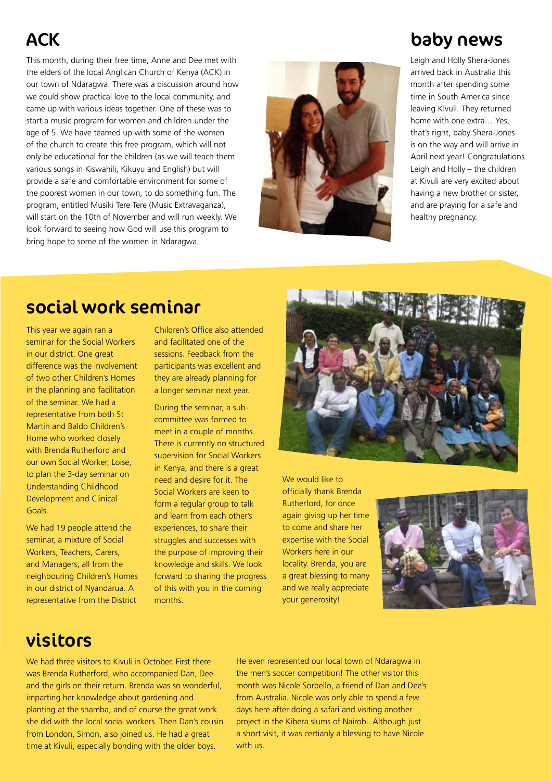# **ACK**

This month, during their free time, Anne and Dee met with the elders of the local Anglican Church of Kenya (ACK) in our town of Ndaragwa. There was a discussion around how we could show practical love to the local community, and came up with various ideas together. One of these was to start a music program for women and children under the age of 5. We have teamed up with some of the women of the church to create this free program, which will not only be educational for the children (as we will teach them various songs in Kiswahili, Kikuyu and English) but will provide a safe and comfortable environment for some of the poorest women in our town, to do something fun. The program, entitled Musiki Tere Tere (Music Extravaganza), will start on the 10th of November and will run weekly. We look forward to seeing how God will use this program to bring hope to some of the women in Ndaragwa.



### baby news

Leigh and Holly Shera-Jones arrived back in Australia this month after spending some time in South America since leaving Kivuli. They returned home with one extra… Yes, that's right, baby Shera-Jones is on the way and will arrive in April next year! Congratulations Leigh and Holly – the children at Kivuli are very excited about having a new brother or sister, and are praying for a safe and healthy pregnancy.

## social work seminar

This year we again ran a seminar for the Social Workers in our district. One great difference was the involvement of two other Children's Homes in the planning and facilitation of the seminar. We had a representative from both St Martin and Baldo Children's Home who worked closely with Brenda Rutherford and our own Social Worker, Loise, to plan the 3-day seminar on Understanding Childhood Development and Clinical Goals.

We had 19 people attend the seminar, a mixture of Social Workers, Teachers, Carers, and Managers, all from the neighbouring Children's Homes in our district of Nyandarua. A representative from the District

Children's Office also attended and facilitated one of the sessions. Feedback from the participants was excellent and they are already planning for a longer seminar next year.

During the seminar, a subcommittee was formed to meet in a couple of months. There is currently no structured supervision for Social Workers in Kenya, and there is a great need and desire for it. The Social Workers are keen to form a regular group to talk and learn from each other's experiences, to share their struggles and successes with the purpose of improving their knowledge and skills. We look forward to sharing the progress of this with you in the coming months.



We would like to officially thank Brenda Rutherford, for once again giving up her time to come and share her expertise with the Social Workers here in our locality. Brenda, you are a great blessing to many and we really appreciate your generosity!



#### visitors

We had three visitors to Kivuli in October. First there was Brenda Rutherford, who accompanied Dan, Dee and the girls on their return. Brenda was so wonderful, imparting her knowledge about gardening and planting at the shamba, and of course the great work she did with the local social workers. Then Dan's cousin from London, Simon, also joined us. He had a great time at Kivuli, especially bonding with the older boys.

He even represented our local town of Ndaragwa in the men's soccer competition! The other visitor this month was Nicole Sorbello, a friend of Dan and Dee's from Australia. Nicole was only able to spend a few days here after doing a safari and visiting another project in the Kibera slums of Nairobi. Although just a short visit, it was certianly a blessing to have Nicole with us.